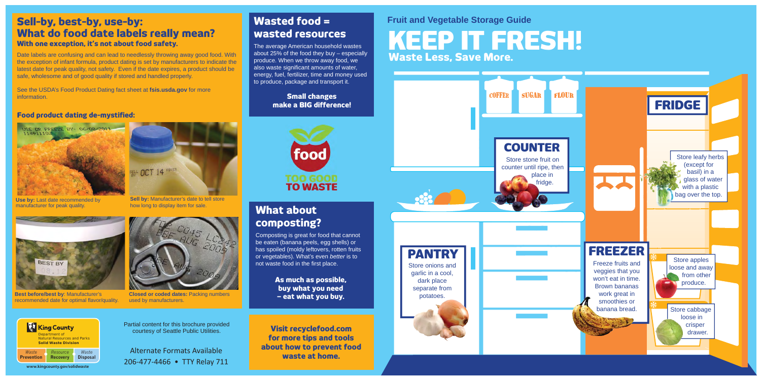# **KEEP IT FRESH! Waste Less, Save More.**

**Fruit and Vegetable Storage Guide**



### **Sell-by, best-by, use-by: What do food date labels really mean? With one exception, it's not about food safety.**

See the USDA's Food Product Dating fact sheet at **fsis.usda.gov** for more **information** 

Date labels are confusing and can lead to needlessly throwing away good food. With the exception of infant formula, product dating is set by manufacturers to indicate the latest date for peak quality, not safety. Even if the date expires, a product should be safe, wholesome and of good quality if stored and handled properly.

> **Sell by:** Manufacturer's date to tell store how long to display item for sale.



**Best before/best by**: Manufacturer's recommended date for optimal flavor/quality.

**Use by:** Last date recommended by manufacturer for peak quality







Composting is great for food that cannot be eaten (banana peels, egg shells) or has spoiled (moldy leftovers, rotten fruits or vegetables). What's even *better* is to not waste food in the first place.

#### **Food product dating de-mystified:**





**Closed or coded dates:** Packing numbers used by manufacturers.

## **Wasted food = wasted resources**

The average American household wastes about 25% of the food they buy – especially produce. When we throw away food, we also waste significant amounts of water, energy, fuel, fertilizer, time and money used to produce, package and transport it.

> **Small changes make a BIG difference!**



# **What about composting?**

**As much as possible, buy what you need – eat what you buy.**

Alternate Formats Available 206-477-4466 • TTY Relay 711

Partial content for this brochure provided courtesy of Seattle Public Utilities. **Visit recyclefood.com** 

**for more tips and tools about how to prevent food waste at home.**